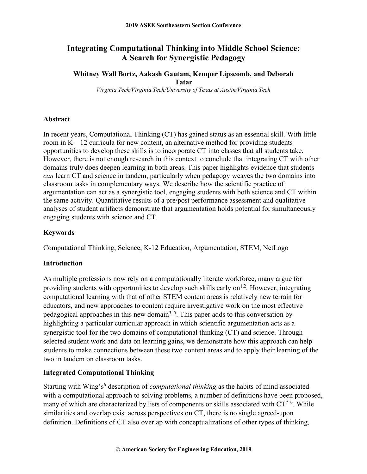# **Integrating Computational Thinking into Middle School Science: A Search for Synergistic Pedagogy**

### **Whitney Wall Bortz, Aakash Gautam, Kemper Lipscomb, and Deborah Tatar**

*Virginia Tech/Virginia Tech/University of Texas at Austin/Virginia Tech*

### **Abstract**

In recent years, Computational Thinking (CT) has gained status as an essential skill. With little room in  $K - 12$  curricula for new content, an alternative method for providing students opportunities to develop these skills is to incorporate CT into classes that all students take. However, there is not enough research in this context to conclude that integrating CT with other domains truly does deepen learning in both areas. This paper highlights evidence that students *can* learn CT and science in tandem, particularly when pedagogy weaves the two domains into classroom tasks in complementary ways. We describe how the scientific practice of argumentation can act as a synergistic tool, engaging students with both science and CT within the same activity. Quantitative results of a pre/post performance assessment and qualitative analyses of student artifacts demonstrate that argumentation holds potential for simultaneously engaging students with science and CT.

### **Keywords**

Computational Thinking, Science, K-12 Education, Argumentation, STEM, NetLogo

### **Introduction**

As multiple professions now rely on a computationally literate workforce, many argue for providing students with opportunities to develop such skills early on $1,2$ . However, integrating computational learning with that of other STEM content areas is relatively new terrain for educators, and new approaches to content require investigative work on the most effective pedagogical approaches in this new domain<sup> $3-5$ </sup>. This paper adds to this conversation by highlighting a particular curricular approach in which scientific argumentation acts as a synergistic tool for the two domains of computational thinking (CT) and science. Through selected student work and data on learning gains, we demonstrate how this approach can help students to make connections between these two content areas and to apply their learning of the two in tandem on classroom tasks.

### **Integrated Computational Thinking**

Starting with Wing's<sup>6</sup> description of *computational thinking* as the habits of mind associated with a computational approach to solving problems, a number of definitions have been proposed, many of which are characterized by lists of components or skills associated with  $CT^{7-9}$ . While similarities and overlap exist across perspectives on CT, there is no single agreed-upon definition. Definitions of CT also overlap with conceptualizations of other types of thinking,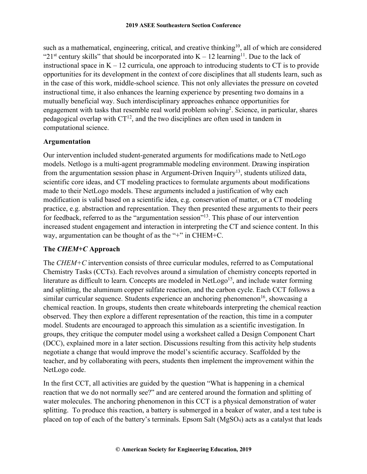such as a mathematical, engineering, critical, and creative thinking<sup>10</sup>, all of which are considered "21<sup>st</sup> century skills" that should be incorporated into  $K - 12$  learning<sup>11</sup>. Due to the lack of instructional space in  $K - 12$  curricula, one approach to introducing students to CT is to provide opportunities for its development in the context of core disciplines that all students learn, such as in the case of this work, middle-school science. This not only alleviates the pressure on coveted instructional time, it also enhances the learning experience by presenting two domains in a mutually beneficial way. Such interdisciplinary approaches enhance opportunities for engagement with tasks that resemble real world problem solving<sup>2</sup>. Science, in particular, shares pedagogical overlap with  $CT<sup>12</sup>$ , and the two disciplines are often used in tandem in computational science.

### **Argumentation**

Our intervention included student-generated arguments for modifications made to NetLogo models. Netlogo is a multi-agent programmable modeling environment. Drawing inspiration from the argumentation session phase in Argument-Driven Inquiry13, students utilized data, scientific core ideas, and CT modeling practices to formulate arguments about modifications made to their NetLogo models. These arguments included a justification of why each modification is valid based on a scientific idea, e.g. conservation of matter, or a CT modeling practice, e.g. abstraction and representation. They then presented these arguments to their peers for feedback, referred to as the "argumentation session"<sup>13</sup>. This phase of our intervention increased student engagement and interaction in interpreting the CT and science content. In this way, argumentation can be thought of as the "+" in CHEM+C.

## **The** *CHEM+C* **Approach**

The *CHEM+C* intervention consists of three curricular modules, referred to as Computational Chemistry Tasks (CCTs). Each revolves around a simulation of chemistry concepts reported in literature as difficult to learn. Concepts are modeled in  $NetLog<sup>15</sup>$ , and include water forming and splitting, the aluminum copper sulfate reaction, and the carbon cycle. Each CCT follows a similar curricular sequence. Students experience an anchoring phenomenon<sup>16</sup>, showcasing a chemical reaction. In groups, students then create whiteboards interpreting the chemical reaction observed. They then explore a different representation of the reaction, this time in a computer model. Students are encouraged to approach this simulation as a scientific investigation. In groups, they critique the computer model using a worksheet called a Design Component Chart (DCC), explained more in a later section. Discussions resulting from this activity help students negotiate a change that would improve the model's scientific accuracy. Scaffolded by the teacher, and by collaborating with peers, students then implement the improvement within the NetLogo code.

In the first CCT, all activities are guided by the question "What is happening in a chemical reaction that we do not normally see?" and are centered around the formation and splitting of water molecules. The anchoring phenomenon in this CCT is a physical demonstration of water splitting. To produce this reaction, a battery is submerged in a beaker of water, and a test tube is placed on top of each of the battery's terminals. Epsom Salt (MgSO4) acts as a catalyst that leads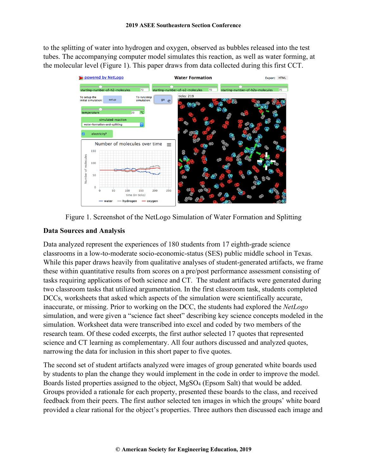to the splitting of water into hydrogen and oxygen, observed as bubbles released into the test tubes. The accompanying computer model simulates this reaction, as well as water forming, at the molecular level (Figure 1). This paper draws from data collected during this first CCT.





### **Data Sources and Analysis**

Data analyzed represent the experiences of 180 students from 17 eighth-grade science classrooms in a low-to-moderate socio-economic-status (SES) public middle school in Texas. While this paper draws heavily from qualitative analyses of student-generated artifacts, we frame these within quantitative results from scores on a pre/post performance assessment consisting of tasks requiring applications of both science and CT. The student artifacts were generated during two classroom tasks that utilized argumentation. In the first classroom task, students completed DCCs, worksheets that asked which aspects of the simulation were scientifically accurate, inaccurate, or missing. Prior to working on the DCC, the students had explored the *NetLogo* simulation, and were given a "science fact sheet" describing key science concepts modeled in the simulation. Worksheet data were transcribed into excel and coded by two members of the research team. Of these coded excerpts, the first author selected 17 quotes that represented science and CT learning as complementary. All four authors discussed and analyzed quotes, narrowing the data for inclusion in this short paper to five quotes.

The second set of student artifacts analyzed were images of group generated white boards used by students to plan the change they would implement in the code in order to improve the model. Boards listed properties assigned to the object, MgSO4 (Epsom Salt) that would be added. Groups provided a rationale for each property, presented these boards to the class, and received feedback from their peers. The first author selected ten images in which the groups' white board provided a clear rational for the object's properties. Three authors then discussed each image and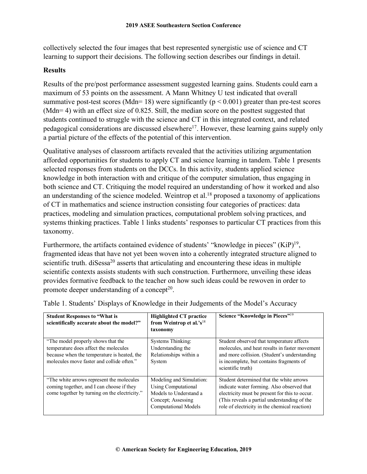collectively selected the four images that best represented synergistic use of science and CT learning to support their decisions. The following section describes our findings in detail.

### **Results**

Results of the pre/post performance assessment suggested learning gains. Students could earn a maximum of 53 points on the assessment. A Mann Whitney U test indicated that overall summative post-test scores (Mdn= 18) were significantly ( $p < 0.001$ ) greater than pre-test scores (Mdn= 4) with an effect size of 0.825. Still, the median score on the posttest suggested that students continued to struggle with the science and CT in this integrated context, and related pedagogical considerations are discussed elsewhere<sup>17</sup>. However, these learning gains supply only a partial picture of the effects of the potential of this intervention.

Qualitative analyses of classroom artifacts revealed that the activities utilizing argumentation afforded opportunities for students to apply CT and science learning in tandem. Table 1 presents selected responses from students on the DCCs. In this activity, students applied science knowledge in both interaction with and critique of the computer simulation, thus engaging in both science and CT. Critiquing the model required an understanding of how it worked and also an understanding of the science modeled. Weintrop et al.<sup>18</sup> proposed a taxonomy of applications of CT in mathematics and science instruction consisting four categories of practices: data practices, modeling and simulation practices, computational problem solving practices, and systems thinking practices. Table 1 links students' responses to particular CT practices from this taxonomy.

Furthermore, the artifacts contained evidence of students' "knowledge in pieces" (KiP)<sup>19</sup>, fragmented ideas that have not yet been woven into a coherently integrated structure aligned to scientific truth. diSessa<sup>20</sup> asserts that articulating and encountering these ideas in multiple scientific contexts assists students with such construction. Furthermore, unveiling these ideas provides formative feedback to the teacher on how such ideas could be rewoven in order to promote deeper understanding of a concept<sup>20</sup>.

| <b>Student Responses to "What is</b><br>scientifically accurate about the model?"                                                                                       | <b>Highlighted CT practice</b><br>from Weintrop et al.'s <sup>18</sup><br>taxonomy                                                    | Science "Knowledge in Pieces" <sup>19</sup>                                                                                                                                                                                               |
|-------------------------------------------------------------------------------------------------------------------------------------------------------------------------|---------------------------------------------------------------------------------------------------------------------------------------|-------------------------------------------------------------------------------------------------------------------------------------------------------------------------------------------------------------------------------------------|
| "The model properly shows that the<br>temperature does affect the molecules<br>because when the temperature is heated, the<br>molecules move faster and collide often." | <b>Systems Thinking:</b><br>Understanding the<br>Relationships within a<br>System                                                     | Student observed that temperature affects<br>molecules, and heat results in faster movement<br>and more collision. (Student's understanding<br>is incomplete, but contains fragments of<br>scientific truth)                              |
| "The white arrows represent the molecules"<br>coming together, and I can choose if they<br>come together by turning on the electricity."                                | Modeling and Simulation:<br><b>Using Computational</b><br>Models to Understand a<br>Concept: Assessing<br><b>Computational Models</b> | Student determined that the white arrows<br>indicate water forming. Also observed that<br>electricity must be present for this to occur.<br>(This reveals a partial understanding of the<br>role of electricity in the chemical reaction) |

Table 1. Students' Displays of Knowledge in their Judgements of the Model's Accuracy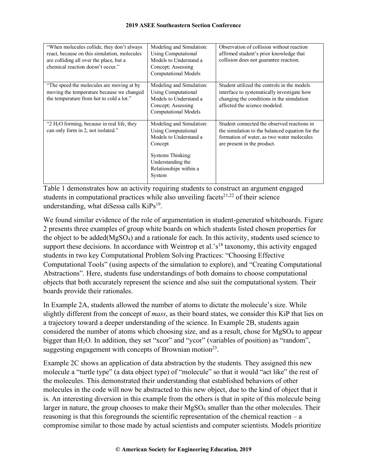| "When molecules collide, they don't always"<br>react, because on this simulation, molecules<br>are colliding all over the place, but a<br>chemical reaction doesn't occur." | Modeling and Simulation:<br>Using Computational<br>Models to Understand a<br>Concept; Assessing<br>Computational Models                                                          | Observation of collision without reaction<br>affirmed student's prior knowledge that<br>collision does not guarantee reaction.                                              |
|-----------------------------------------------------------------------------------------------------------------------------------------------------------------------------|----------------------------------------------------------------------------------------------------------------------------------------------------------------------------------|-----------------------------------------------------------------------------------------------------------------------------------------------------------------------------|
| "The speed the molecules are moving at by"<br>moving the temperature because we changed<br>the temperature from hot to cold a lot."                                         | Modeling and Simulation:<br>Using Computational<br>Models to Understand a<br>Concept; Assessing<br><b>Computational Models</b>                                                   | Student utilized the controls in the models<br>interface to systematically investigate how<br>changing the conditions in the simulation<br>affected the science modeled.    |
| "2 $H_2O$ forming, because in real life, they<br>can only form in 2, not isolated."                                                                                         | Modeling and Simulation:<br><b>Using Computational</b><br>Models to Understand a<br>Concept<br><b>Systems Thinking:</b><br>Understanding the<br>Relationships within a<br>System | Student connected the observed reactions in<br>the simulation to the balanced equation for the<br>formation of water, as two water molecules<br>are present in the product. |

Table 1 demonstrates how an activity requiring students to construct an argument engaged students in computational practices while also unveiling facets<sup>21,22</sup> of their science understanding, what diSessa calls  $KiPs<sup>19</sup>$ .

We found similar evidence of the role of argumentation in student-generated whiteboards. Figure 2 presents three examples of group white boards on which students listed chosen properties for the object to be added(MgSO4) and a rationale for each. In this activity, students used science to support these decisions. In accordance with Weintrop et al.'s<sup>18</sup> taxonomy, this activity engaged students in two key Computational Problem Solving Practices: "Choosing Effective Computational Tools" (using aspects of the simulation to explore), and "Creating Computational Abstractions". Here, students fuse understandings of both domains to choose computational objects that both accurately represent the science and also suit the computational system. Their boards provide their rationales.

In Example 2A, students allowed the number of atoms to dictate the molecule's size. While slightly different from the concept of *mass*, as their board states, we consider this KiP that lies on a trajectory toward a deeper understanding of the science. In Example 2B, students again considered the number of atoms which choosing size, and as a result, chose for MgSO4 to appear bigger than H<sub>2</sub>O. In addition, they set "xcor" and "ycor" (variables of position) as "random", suggesting engagement with concepts of Brownian motion<sup>23</sup>.

Example 2C shows an application of data abstraction by the students. They assigned this new molecule a "turtle type" (a data object type) of "molecule" so that it would "act like" the rest of the molecules. This demonstrated their understanding that established behaviors of other molecules in the code will now be abstracted to this new object, due to the kind of object that it is. An interesting diversion in this example from the others is that in spite of this molecule being larger in nature, the group chooses to make their MgSO4 smaller than the other molecules. Their reasoning is that this foregrounds the scientific representation of the chemical reaction – a compromise similar to those made by actual scientists and computer scientists. Models prioritize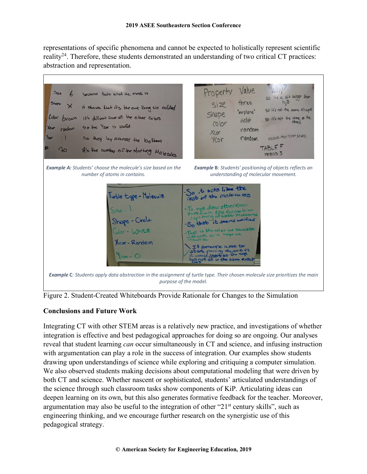representations of specific phenomena and cannot be expected to holistically represent scientific reality24. Therefore, these students demonstrated an understanding of two critical CT practices: abstraction and representation.



Figure 2. Student-Created Whiteboards Provide Rationale for Changes to the Simulation

### **Conclusions and Future Work**

Integrating CT with other STEM areas is a relatively new practice, and investigations of whether integration is effective and best pedagogical approaches for doing so are ongoing. Our analyses reveal that student learning *can* occur simultaneously in CT and science, and infusing instruction with argumentation can play a role in the success of integration. Our examples show students drawing upon understandings of science while exploring and critiquing a computer simulation. We also observed students making decisions about computational modeling that were driven by both CT and science. Whether nascent or sophisticated, students' articulated understandings of the science through such classroom tasks show components of KiP. Articulating ideas can deepen learning on its own, but this also generates formative feedback for the teacher. Moreover, argumentation may also be useful to the integration of other "21<sup>st</sup> century skills", such as engineering thinking, and we encourage further research on the synergistic use of this pedagogical strategy.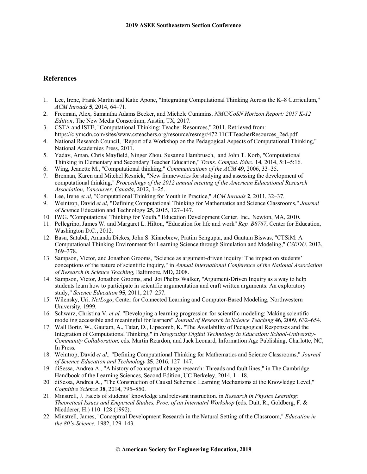#### **References**

- 1. Lee, Irene, Frank Martin and Katie Apone, "Integrating Computational Thinking Across the K–8 Curriculum," *ACM Inroads* **5**, 2014, 64–71.
- 2. Freeman, Alex, Samantha Adams Becker, and Michele Cummins, *NMC/CoSN Horizon Report: 2017 K-12 Edition*, The New Media Consortium, Austin, TX, 2017.
- 3. CSTA and ISTE, "Computational Thinking: Teacher Resources," 2011. Retrieved from: https://c.ymcdn.com/sites/www.csteachers.org/resource/resmgr/472.11CTTeacherResources\_2ed.pdf
- 4. National Research Council, "Report of a Workshop on the Pedagogical Aspects of Computational Thinking," National Academies Press, 2011.
- 5. Yadav, Aman, Chris Mayfield, Ninger Zhou, Susanne Hambrusch, and John T. Korb, "Computational Thinking in Elementary and Secondary Teacher Education," *Trans. Comput. Educ.* **14**, 2014, 5:1–5:16.
- 6. Wing, Jeanette M., "Computational thinking," *Communications of the ACM* **49**, 2006, 33–35.
- 7. Brennan, Karen and Mitchel Resnick, "New frameworks for studying and assessing the development of computational thinking," *Proceedings of the 2012 annual meeting of the American Educational Research Association, Vancouver, Canada*, 2012, 1–25.
- 8. Lee, Irene *et al,* "Computational Thinking for Youth in Practice," *ACM Inroads* **2**, 2011, 32–37.
- 9. Weintrop, David *et al,* "Defining Computational Thinking for Mathematics and Science Classrooms," *Journal of Scie*nce Education and Technology **25**, 2015, 127–147.
- 10. IWG. "Computational Thinking for Youth," Education Development Center, Inc., Newton, MA, 2010.
- 11. Pellegrino, James W. and Margaret L. Hilton, "Education for life and work" *Rep. B8767*, Center for Education, Washington D.C., 2012.
- 12. Basu, Satabdi, Amanda Dickes, John S. Kinnebrew, Pratim Sengupta, and Gautam Biswas, "CTSiM: A Computational Thinking Environment for Learning Science through Simulation and Modeling," *CSEDU*, 2013, 369–378.
- 13. Sampson, Victor, and Jonathon Grooms, "Science as argument-driven inquiry: The impact on students' conceptions of the nature of scientific inquiry," in *Annual International Conference of the National Association of Research in Science Teaching,* Baltimore, MD, 2008.
- 14. Sampson, Victor, Jonathon Grooms, and Joi Phelps Walker, "Argument-Driven Inquiry as a way to help students learn how to participate in scientific argumentation and craft written arguments: An exploratory study," *Science Education* **95**, 2011, 217–257.
- 15. Wilensky, Uri. *NetLogo*, Center for Connected Learning and Computer-Based Modeling, Northwestern University, 1999.
- 16. Schwarz, Christina V. *et al.* "Developing a learning progression for scientific modeling: Making scientific modeling accessible and meaningful for learners" *Journal of Research in Science Teaching* **46**, 2009, 632–654.
- 17. Wall Bortz, W., Gautam, A., Tatar, D., Lipscomb, K. "The Availability of Pedagogical Responses and the Integration of Computational Thinking," in *Integrating Digital Technology in Education: School-University-Community Collaboration,* eds. Martin Reardon, and Jack Leonard, Information Age Publishing, Charlotte, NC, In Press.
- 18. Weintrop, David *et al.,* "Defining Computational Thinking for Mathematics and Science Classrooms," *Journal of Science Education and Technology* **25**, 2016, 127–147.
- 19. diSessa, Andrea A., "A history of conceptual change research: Threads and fault lines," in The Cambridge Handbook of the Learning Sciences, Second Edition, UC Berkeley, 2014, 1 - 18.
- 20. diSessa, Andrea A., "The Construction of Causal Schemes: Learning Mechanisms at the Knowledge Level," *Cognitive Science* **38**, 2014, 795–850.
- 21. Minstrell, J. Facets of students' knowledge and relevant instruction. in *Research in Physics Learning: Theoretical Issues and Empirical Studies, Proc. of an Internatnl Workshop* (eds. Duit, R., Goldberg, F. & Niedderer, H.) 110–128 (1992).
- 22. Minstrell, James, "Conceptual Development Research in the Natural Setting of the Classroom," *Education in the 80's-Science,* 1982, 129–143.